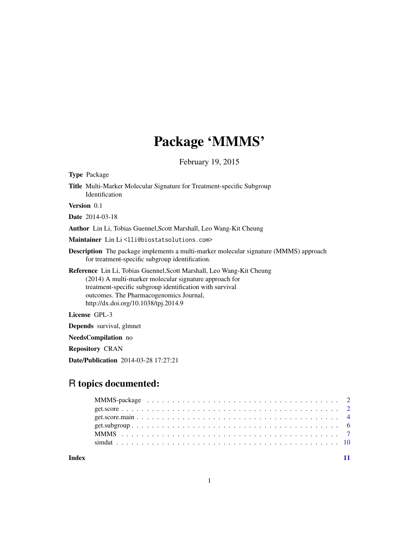# Package 'MMMS'

February 19, 2015

| <b>Type Package</b>                                                                                                                                                                                                                                                            |
|--------------------------------------------------------------------------------------------------------------------------------------------------------------------------------------------------------------------------------------------------------------------------------|
| Title Multi-Marker Molecular Signature for Treatment-specific Subgroup<br>Identification                                                                                                                                                                                       |
| Version 0.1                                                                                                                                                                                                                                                                    |
| <b>Date</b> 2014-03-18                                                                                                                                                                                                                                                         |
| Author Lin Li, Tobias Guennel, Scott Marshall, Leo Wang-Kit Cheung                                                                                                                                                                                                             |
| Maintainer Lin Li <lli@biostatsolutions.com></lli@biostatsolutions.com>                                                                                                                                                                                                        |
| <b>Description</b> The package implements a multi-marker molecular signature (MMMS) approach<br>for treatment-specific subgroup identification.                                                                                                                                |
| Reference Lin Li, Tobias Guennel, Scott Marshall, Leo Wang-Kit Cheung<br>(2014) A multi-marker molecular signature approach for<br>treatment-specific subgroup identification with survival<br>outcomes. The Pharmacogenomics Journal,<br>http://dx.doi.org/10.1038/tpj.2014.9 |
| License GPL-3                                                                                                                                                                                                                                                                  |
| <b>Depends</b> survival, glmnet                                                                                                                                                                                                                                                |
| <b>NeedsCompilation</b> no                                                                                                                                                                                                                                                     |
| <b>Repository CRAN</b>                                                                                                                                                                                                                                                         |
| <b>Date/Publication</b> 2014-03-28 17:27:21                                                                                                                                                                                                                                    |

## R topics documented:

**Index** [11](#page-10-0)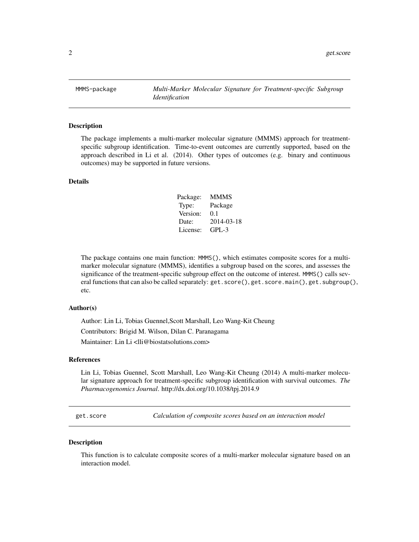<span id="page-1-0"></span>MMMS-package *Multi-Marker Molecular Signature for Treatment-specific Subgroup Identification*

#### Description

The package implements a multi-marker molecular signature (MMMS) approach for treatmentspecific subgroup identification. Time-to-event outcomes are currently supported, based on the approach described in Li et al. (2014). Other types of outcomes (e.g. binary and continuous outcomes) may be supported in future versions.

## Details

| Package: | <b>MMMS</b> |
|----------|-------------|
| Type:    | Package     |
| Version: | 0.1         |
| Date:    | 2014-03-18  |
| License: | $GPI - 3$   |

The package contains one main function: MMMS(), which estimates composite scores for a multimarker molecular signature (MMMS), identifies a subgroup based on the scores, and assesses the significance of the treatment-specific subgroup effect on the outcome of interest. MMMS() calls several functions that can also be called separately: get.score(), get.score.main(), get.subgroup(), etc.

#### Author(s)

Author: Lin Li, Tobias Guennel,Scott Marshall, Leo Wang-Kit Cheung Contributors: Brigid M. Wilson, Dilan C. Paranagama Maintainer: Lin Li <lli@biostatsolutions.com>

#### References

Lin Li, Tobias Guennel, Scott Marshall, Leo Wang-Kit Cheung (2014) A multi-marker molecular signature approach for treatment-specific subgroup identification with survival outcomes. *The Pharmacogenomics Journal*. http://dx.doi.org/10.1038/tpj.2014.9

<span id="page-1-1"></span>get.score *Calculation of composite scores based on an interaction model*

#### Description

This function is to calculate composite scores of a multi-marker molecular signature based on an interaction model.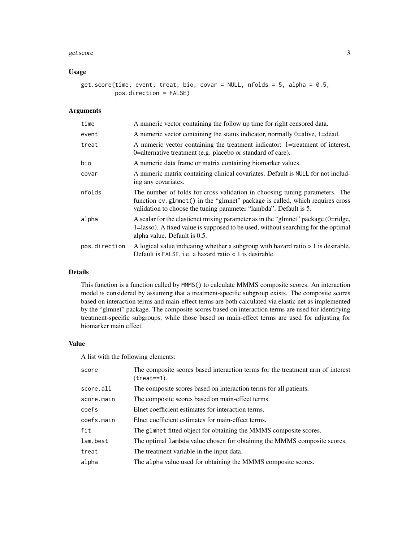#### get.score 3

## Usage

get.score(time, event, treat, bio, covar = NULL, nfolds = 5, alpha = 0.5, pos.direction = FALSE)

## Arguments

| time          | A numeric vector containing the follow up time for right censored data.                                                                                                                                                          |
|---------------|----------------------------------------------------------------------------------------------------------------------------------------------------------------------------------------------------------------------------------|
| event         | A numeric vector containing the status indicator, normally 0=alive, 1=dead.                                                                                                                                                      |
| treat         | A numeric vector containing the treatment indicator: 1=treatment of interest,<br>0=alternative treatment (e.g. placebo or standard of care).                                                                                     |
| bio           | A numeric data frame or matrix containing biomarker values.                                                                                                                                                                      |
| covar         | A numeric matrix containing clinical covariates. Default is NULL for not includ-<br>ing any covariates.                                                                                                                          |
| nfolds        | The number of folds for cross validation in choosing tuning parameters. The<br>function cv.glmnet() in the "glmnet" package is called, which requires cross<br>validation to choose the tuning parameter "lambda". Default is 5. |
| alpha         | A scalar for the elasticnet mixing parameter as in the "glmnet" package (0=ridge,<br>1=lasso). A fixed value is supposed to be used, without searching for the optimal<br>alpha value. Default is 0.5.                           |
| pos.direction | A logical value indicating whether a subgroup with hazard ratio $> 1$ is desirable.<br>Default is FALSE, i.e. a hazard ratio $< 1$ is desirable.                                                                                 |

## Details

This function is a function called by MMMS() to calculate MMMS composite scores. An interaction model is considered by assuming that a treatment-specific subgroup exists. The composite scores based on interaction terms and main-effect terms are both calculated via elastic net as implemented by the "glmnet" package. The composite scores based on interaction terms are used for identifying treatment-specific subgroups, while those based on main-effect terms are used for adjusting for biomarker main effect.

#### Value

A list with the following elements:

| score      | The composite scores based interaction terms for the treatment arm of interest<br>$(treat==1).$ |
|------------|-------------------------------------------------------------------------------------------------|
| score.all  | The composite scores based on interaction terms for all patients.                               |
| score.main | The composite scores based on main-effect terms.                                                |
| coefs      | Elnet coefficient estimates for interaction terms.                                              |
| coefs.main | Elnet coefficient estimates for main-effect terms.                                              |
| fit        | The glmnet fitted object for obtaining the MMMS composite scores.                               |
| lam.best   | The optimal lambda value chosen for obtaining the MMMS composite scores.                        |
| treat      | The treatment variable in the input data.                                                       |
| alpha      | The alpha value used for obtaining the MMMS composite scores.                                   |
|            |                                                                                                 |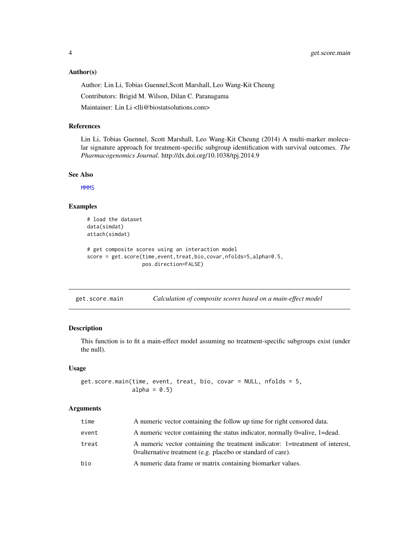#### <span id="page-3-0"></span>Author(s)

Author: Lin Li, Tobias Guennel,Scott Marshall, Leo Wang-Kit Cheung

Contributors: Brigid M. Wilson, Dilan C. Paranagama

Maintainer: Lin Li <lli@biostatsolutions.com>

#### References

Lin Li, Tobias Guennel, Scott Marshall, Leo Wang-Kit Cheung (2014) A multi-marker molecular signature approach for treatment-specific subgroup identification with survival outcomes. *The Pharmacogenomics Journal*. http://dx.doi.org/10.1038/tpj.2014.9

#### See Also

**[MMMS](#page-6-1)** 

## Examples

```
# load the dataset
data(simdat)
attach(simdat)
# get composite scores using an interaction model
score = get.score(time,event,treat,bio,covar,nfolds=5,alpha=0.5,
                  pos.direction=FALSE)
```

| get.score.main | Calculation of composite scores based on a main-effect model |  |  |  |
|----------------|--------------------------------------------------------------|--|--|--|
|                |                                                              |  |  |  |

## Description

This function is to fit a main-effect model assuming no treatment-specific subgroups exist (under the null).

#### Usage

```
get.score.main(time, event, treat, bio, covar = NULL, nfolds = 5,
               alpha = 0.5)
```
#### Arguments

| time  | A numeric vector containing the follow up time for right censored data.                                                                      |
|-------|----------------------------------------------------------------------------------------------------------------------------------------------|
| event | A numeric vector containing the status indicator, normally 0=alive, 1=dead.                                                                  |
| treat | A numeric vector containing the treatment indicator: 1=treatment of interest,<br>0-alternative treatment (e.g. placebo or standard of care). |
| bio   | A numeric data frame or matrix containing biomarker values.                                                                                  |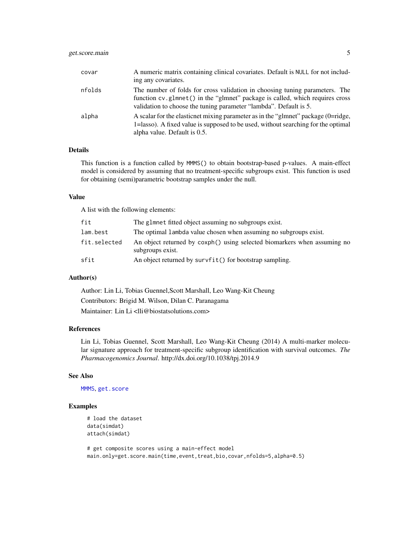## <span id="page-4-0"></span>get.score.main 5

| covar  | A numeric matrix containing clinical covariates. Default is NULL for not includ-<br>ing any covariates.                                                                                                                          |
|--------|----------------------------------------------------------------------------------------------------------------------------------------------------------------------------------------------------------------------------------|
| nfolds | The number of folds for cross validation in choosing tuning parameters. The<br>function cv.glmnet() in the "glmnet" package is called, which requires cross<br>validation to choose the tuning parameter "lambda". Default is 5. |
| alpha  | A scalar for the elasticnet mixing parameter as in the "glmnet" package (0=ridge,<br>1=lasso). A fixed value is supposed to be used, without searching for the optimal<br>alpha value. Default is 0.5.                           |

## Details

This function is a function called by MMMS() to obtain bootstrap-based p-values. A main-effect model is considered by assuming that no treatment-specific subgroups exist. This function is used for obtaining (semi)parametric bootstrap samples under the null.

#### Value

A list with the following elements:

| fit          | The glmnet fitted object assuming no subgroups exist.                                        |
|--------------|----------------------------------------------------------------------------------------------|
| lam.best     | The optimal lambda value chosen when assuming no subgroups exist.                            |
| fit.selected | An object returned by coxph() using selected biomarkers when assuming no<br>subgroups exist. |
| sfit         | An object returned by survfit() for bootstrap sampling.                                      |

### Author(s)

Author: Lin Li, Tobias Guennel,Scott Marshall, Leo Wang-Kit Cheung Contributors: Brigid M. Wilson, Dilan C. Paranagama Maintainer: Lin Li <lli@biostatsolutions.com>

#### References

Lin Li, Tobias Guennel, Scott Marshall, Leo Wang-Kit Cheung (2014) A multi-marker molecular signature approach for treatment-specific subgroup identification with survival outcomes. *The Pharmacogenomics Journal*. http://dx.doi.org/10.1038/tpj.2014.9

## See Also

[MMMS](#page-6-1), [get.score](#page-1-1)

## Examples

```
# load the dataset
data(simdat)
attach(simdat)
```
# get composite scores using a main-effect model main.only=get.score.main(time,event,treat,bio,covar,nfolds=5,alpha=0.5)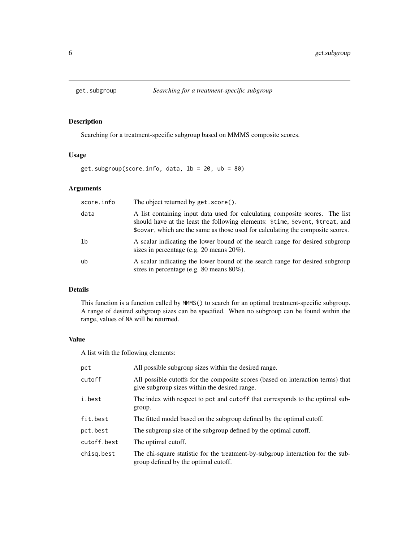<span id="page-5-1"></span><span id="page-5-0"></span>

## Description

Searching for a treatment-specific subgroup based on MMMS composite scores.

## Usage

get.subgroup(score.info, data, lb = 20, ub = 80)

## Arguments

| score.info | The object returned by get. score().                                                                                                                                                                                                              |
|------------|---------------------------------------------------------------------------------------------------------------------------------------------------------------------------------------------------------------------------------------------------|
| data       | A list containing input data used for calculating composite scores. The list<br>should have at the least the following elements: \$time, \$event, \$treat, and<br>\$covar, which are the same as those used for calculating the composite scores. |
| 1b         | A scalar indicating the lower bound of the search range for desired subgroup<br>sizes in percentage (e.g. 20 means $20\%$ ).                                                                                                                      |
| ub         | A scalar indicating the lower bound of the search range for desired subgroup<br>sizes in percentage (e.g. $80$ means $80\%$ ).                                                                                                                    |

## Details

This function is a function called by MMMS() to search for an optimal treatment-specific subgroup. A range of desired subgroup sizes can be specified. When no subgroup can be found within the range, values of NA will be returned.

## Value

A list with the following elements:

| pct         | All possible subgroup sizes within the desired range.                                                                            |
|-------------|----------------------------------------------------------------------------------------------------------------------------------|
| cutoff      | All possible cutoffs for the composite scores (based on interaction terms) that<br>give subgroup sizes within the desired range. |
| i.best      | The index with respect to pct and cutoff that corresponds to the optimal sub-<br>group.                                          |
| fit.best    | The fitted model based on the subgroup defined by the optimal cutoff.                                                            |
| pct.best    | The subgroup size of the subgroup defined by the optimal cutoff.                                                                 |
| cutoff.best | The optimal cutoff.                                                                                                              |
| chisg.best  | The chi-square statistic for the treatment-by-subgroup interaction for the sub-<br>group defined by the optimal cutoff.          |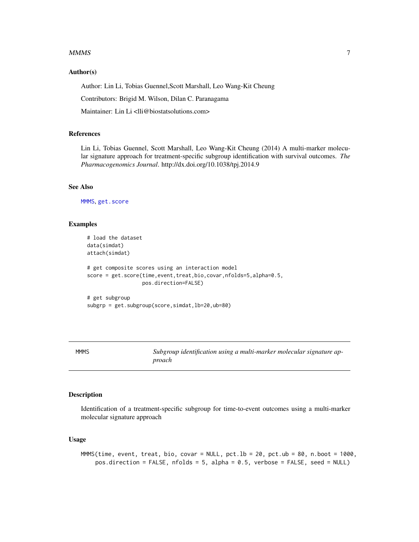#### <span id="page-6-0"></span> $MMMS$  and the state of the state of the state of the state of the state of the state of the state of the state of the state of the state of the state of the state of the state of the state of the state of the state of the

#### Author(s)

Author: Lin Li, Tobias Guennel,Scott Marshall, Leo Wang-Kit Cheung

Contributors: Brigid M. Wilson, Dilan C. Paranagama

Maintainer: Lin Li <lli@biostatsolutions.com>

## References

Lin Li, Tobias Guennel, Scott Marshall, Leo Wang-Kit Cheung (2014) A multi-marker molecular signature approach for treatment-specific subgroup identification with survival outcomes. *The Pharmacogenomics Journal*. http://dx.doi.org/10.1038/tpj.2014.9

#### See Also

[MMMS](#page-6-1), [get.score](#page-1-1)

#### Examples

```
# load the dataset
data(simdat)
attach(simdat)
# get composite scores using an interaction model
score = get.score(time,event,treat,bio,covar,nfolds=5,alpha=0.5,
                  pos.direction=FALSE)
```

```
# get subgroup
subgrp = get.subgroup(score,simdat,lb=20,ub=80)
```
<span id="page-6-1"></span>MMMS *Subgroup identification using a multi-marker molecular signature approach*

## Description

Identification of a treatment-specific subgroup for time-to-event outcomes using a multi-marker molecular signature approach

## Usage

```
MMMS(time, event, treat, bio, covar = NULL, pct.lb = 20, pct.ub = 80, n.boot = 1000,
    pos.direction = FALSE, nfolds = 5, alpha = 0.5, verbose = FALSE, seed = NULL)
```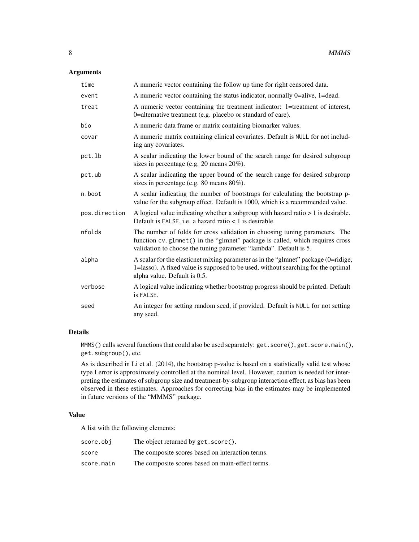## Arguments

| time          | A numeric vector containing the follow up time for right censored data.                                                                                                                                                          |
|---------------|----------------------------------------------------------------------------------------------------------------------------------------------------------------------------------------------------------------------------------|
| event         | A numeric vector containing the status indicator, normally 0=alive, 1=dead.                                                                                                                                                      |
| treat         | A numeric vector containing the treatment indicator: 1=treatment of interest,<br>0=alternative treatment (e.g. placebo or standard of care).                                                                                     |
| bio           | A numeric data frame or matrix containing biomarker values.                                                                                                                                                                      |
| covar         | A numeric matrix containing clinical covariates. Default is NULL for not includ-<br>ing any covariates.                                                                                                                          |
| pct.lb        | A scalar indicating the lower bound of the search range for desired subgroup<br>sizes in percentage (e.g. $20$ means $20\%$ ).                                                                                                   |
| pct.ub        | A scalar indicating the upper bound of the search range for desired subgroup<br>sizes in percentage (e.g. 80 means 80%).                                                                                                         |
| n.boot        | A scalar indicating the number of bootstraps for calculating the bootstrap p-<br>value for the subgroup effect. Default is 1000, which is a recommended value.                                                                   |
| pos.direction | A logical value indicating whether a subgroup with hazard ratio $> 1$ is desirable.<br>Default is FALSE, i.e. a hazard ratio < 1 is desirable.                                                                                   |
| nfolds        | The number of folds for cross validation in choosing tuning parameters. The<br>function cv.glmnet() in the "glmnet" package is called, which requires cross<br>validation to choose the tuning parameter "lambda". Default is 5. |
| alpha         | A scalar for the elasticnet mixing parameter as in the "glmnet" package (0=ridige,<br>1=lasso). A fixed value is supposed to be used, without searching for the optimal<br>alpha value. Default is 0.5.                          |
| verbose       | A logical value indicating whether bootstrap progress should be printed. Default<br>is FALSE.                                                                                                                                    |
| seed          | An integer for setting random seed, if provided. Default is NULL for not setting<br>any seed.                                                                                                                                    |

## Details

MMMS() calls several functions that could also be used separately: get.score(), get.score.main(), get.subgroup(), etc.

As is described in Li et al. (2014), the bootstrap p-value is based on a statistically valid test whose type I error is approximately controlled at the nominal level. However, caution is needed for interpreting the estimates of subgroup size and treatment-by-subgroup interaction effect, as bias has been observed in these estimates. Approaches for correcting bias in the estimates may be implemented in future versions of the "MMMS" package.

## Value

A list with the following elements:

| score.obi  | The object returned by get. score().             |
|------------|--------------------------------------------------|
| score      | The composite scores based on interaction terms. |
| score.main | The composite scores based on main-effect terms. |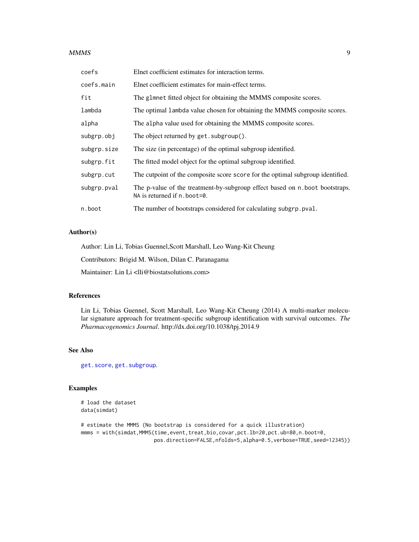#### <span id="page-8-0"></span> $MMMS$  9

| coefs       | Elnet coefficient estimates for interaction terms.                                                          |
|-------------|-------------------------------------------------------------------------------------------------------------|
| coefs.main  | Elnet coefficient estimates for main-effect terms.                                                          |
| fit         | The glmnet fitted object for obtaining the MMMS composite scores.                                           |
| lambda      | The optimal lambda value chosen for obtaining the MMMS composite scores.                                    |
| alpha       | The alpha value used for obtaining the MMMS composite scores.                                               |
| subgrp.obj  | The object returned by get. subgroup().                                                                     |
| subgrp.size | The size (in percentage) of the optimal subgroup identified.                                                |
| subgrp.fit  | The fitted model object for the optimal subgroup identified.                                                |
| subgrp.cut  | The cutpoint of the composite score score for the optimal subgroup identified.                              |
| subgrp.pval | The p-value of the treatment-by-subgroup effect based on n.boot bootstraps.<br>NA is returned if n. boot=0. |
| n.boot      | The number of bootstraps considered for calculating subgrp. pval.                                           |

## Author(s)

Author: Lin Li, Tobias Guennel,Scott Marshall, Leo Wang-Kit Cheung

Contributors: Brigid M. Wilson, Dilan C. Paranagama

Maintainer: Lin Li <lli@biostatsolutions.com>

#### References

Lin Li, Tobias Guennel, Scott Marshall, Leo Wang-Kit Cheung (2014) A multi-marker molecular signature approach for treatment-specific subgroup identification with survival outcomes. *The Pharmacogenomics Journal*. http://dx.doi.org/10.1038/tpj.2014.9

## See Also

[get.score](#page-1-1), [get.subgroup](#page-5-1).

## Examples

```
# load the dataset
data(simdat)
```

```
# estimate the MMMS (No bootstrap is considered for a quick illustration)
mmms = with(simdat,MMMS(time,event,treat,bio,covar,pct.lb=20,pct.ub=80,n.boot=0,
                       pos.direction=FALSE,nfolds=5,alpha=0.5,verbose=TRUE,seed=12345))
```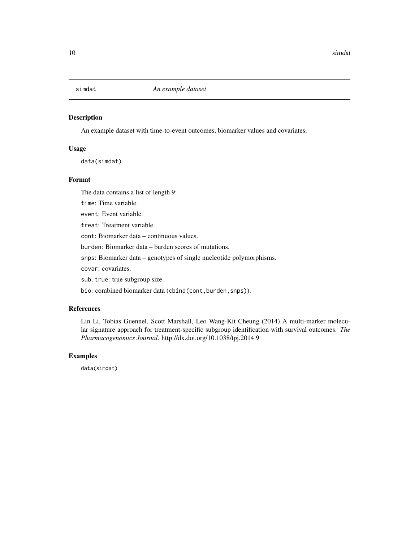<span id="page-9-0"></span>

## Description

An example dataset with time-to-event outcomes, biomarker values and covariates.

#### Usage

data(simdat)

## Format

The data contains a list of length 9:

time: Time variable.

event: Event variable.

treat: Treatment variable.

cont: Biomarker data – continuous values.

burden: Biomarker data – burden scores of mutations.

snps: Biomarker data – genotypes of single nucleotide polymorphisms.

covar: covariates.

sub.true: true subgroup size.

bio: combined biomarker data (cbind(cont,burden,snps)).

## References

Lin Li, Tobias Guennel, Scott Marshall, Leo Wang-Kit Cheung (2014) A multi-marker molecular signature approach for treatment-specific subgroup identification with survival outcomes. *The Pharmacogenomics Journal*. http://dx.doi.org/10.1038/tpj.2014.9

#### Examples

data(simdat)